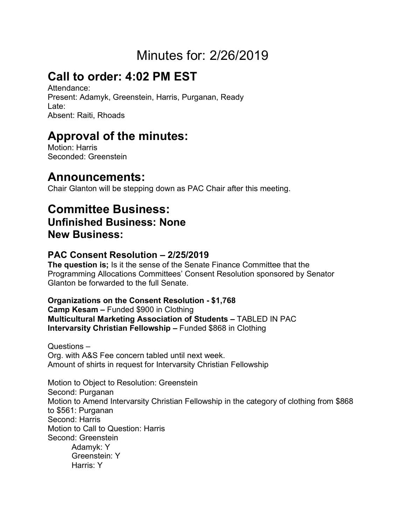# Minutes for: 2/26/2019

# **Call to order: 4:02 PM EST**

Attendance: Present: Adamyk, Greenstein, Harris, Purganan, Ready Late: Absent: Raiti, Rhoads

## **Approval of the minutes:**

Motion: Harris Seconded: Greenstein

## **Announcements:**

Chair Glanton will be stepping down as PAC Chair after this meeting.

### **Committee Business: Unfinished Business: None**

**New Business:**

#### **PAC Consent Resolution – 2/25/2019**

**The question is;** Is it the sense of the Senate Finance Committee that the Programming Allocations Committees' Consent Resolution sponsored by Senator Glanton be forwarded to the full Senate.

#### **Organizations on the Consent Resolution - \$1,768**

**Camp Kesam –** Funded \$900 in Clothing **Multicultural Marketing Association of Students –** TABLED IN PAC **Intervarsity Christian Fellowship –** Funded \$868 in Clothing

Questions – Org. with A&S Fee concern tabled until next week. Amount of shirts in request for Intervarsity Christian Fellowship

Motion to Object to Resolution: Greenstein Second: Purganan Motion to Amend Intervarsity Christian Fellowship in the category of clothing from \$868 to \$561: Purganan Second: Harris Motion to Call to Question: Harris Second: Greenstein Adamyk: Y Greenstein: Y Harris: Y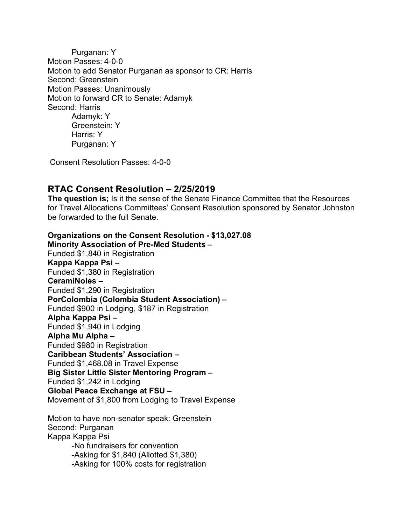Purganan: Y Motion Passes: 4-0-0 Motion to add Senator Purganan as sponsor to CR: Harris Second: Greenstein Motion Passes: Unanimously Motion to forward CR to Senate: Adamyk Second: Harris Adamyk: Y Greenstein: Y Harris: Y Purganan: Y

Consent Resolution Passes: 4-0-0

#### **RTAC Consent Resolution – 2/25/2019**

**The question is;** Is it the sense of the Senate Finance Committee that the Resources for Travel Allocations Committees' Consent Resolution sponsored by Senator Johnston be forwarded to the full Senate.

**Organizations on the Consent Resolution - \$13,027.08 Minority Association of Pre-Med Students –** Funded \$1,840 in Registration **Kappa Kappa Psi –** Funded \$1,380 in Registration **CeramiNoles –** Funded \$1,290 in Registration **PorColombia (Colombia Student Association) –** Funded \$900 in Lodging, \$187 in Registration **Alpha Kappa Psi –** Funded \$1,940 in Lodging **Alpha Mu Alpha –** Funded \$980 in Registration **Caribbean Students' Association –** Funded \$1,468.08 in Travel Expense **Big Sister Little Sister Mentoring Program –** Funded \$1,242 in Lodging **Global Peace Exchange at FSU –** Movement of \$1,800 from Lodging to Travel Expense Motion to have non-senator speak: Greenstein

Second: Purganan Kappa Kappa Psi -No fundraisers for convention -Asking for \$1,840 (Allotted \$1,380) -Asking for 100% costs for registration